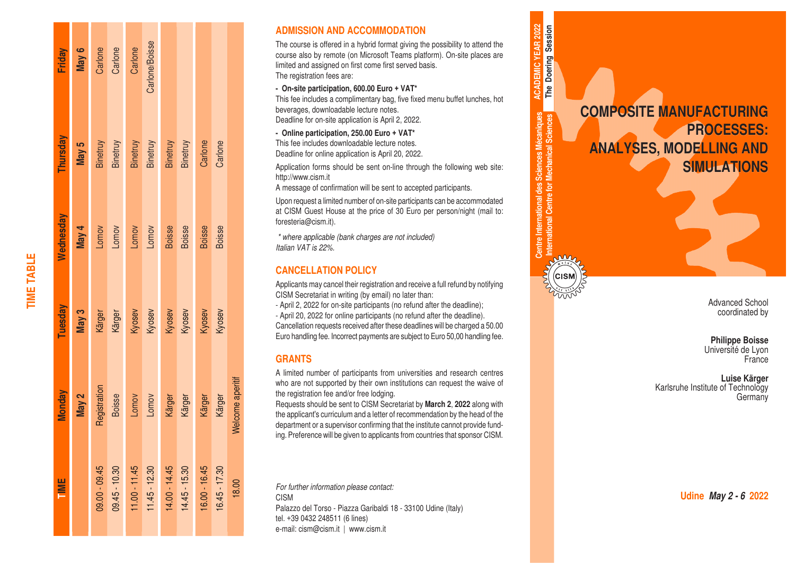| Friday        | May 6 |               | Carlone<br>Carlone | Carlone         | Carlone/Boisse       |               |                      |                  |               |                  |
|---------------|-------|---------------|--------------------|-----------------|----------------------|---------------|----------------------|------------------|---------------|------------------|
| Thursday      | May 5 | Binetruy      | Binetruy           |                 | Binetruy<br>Binetruy |               | Binetruy<br>Binetruy | Carlone          | Carlone       |                  |
| Vednesday     | May 4 | Lomov         | Lomov              | Lomov           | Lomov                | <b>Boisse</b> | Boisse               | <b>Boisse</b>    | <b>Boisse</b> |                  |
| Tuesday       | May 3 | Kärger        | Kärger             |                 | Kyosev<br>Kyosev     |               | Kyosev<br>Kyosev     | Kyosev<br>Kyosev |               |                  |
| <b>Monday</b> | May 2 | Registration  | <b>Boisse</b>      | Lomov           | Lomov                | Kärger        | Kärger               | Kärger           | Kärger        | Welcome aperitif |
| <b>TIME</b>   |       | 09.00 - 09.45 | $09.45 - 10.30$    | $11.00 - 11.45$ | 11.45 - 12.30        | 14.00 - 14.45 | $14.45 - 15.30$      | 16.00 - 16.45    | 16.45 - 17.30 | 18.00            |

**TIME TABLE**

**TIME TABLE** 

# **ADMISSION AND ACCOMMODATION**

The course is offered in a hybrid format giving the possibility to attend the course also by remote (on Microsoft Teams platform). On-site places are limited and assigned on first come first served basis. The registration fees are:

#### **- On-site participation, 600.00 Euro + VAT\***

This fee includes a complimentary bag, five fixed menu buffet lunches, hot beverages, downloadable lecture notes. Deadline for on-site application is April 2, 2022.

#### **- Online participation, 250.00 Euro + VAT\***

This fee includes downloadable lecture notes. Deadline for online application is April 20, 2022.

Application forms should be sent on-line through the following web site: http://www.cism.it

A message of confirmation will be sent to accepted participants.

Upon request a limited number of on-site participants can be accommodated at CISM Guest House at the price of 30 Euro per person/night (mail to: foresteria@cism.it).

*\* where applicable (bank charges are not included) Italian VAT is 22%.*

# **CANCELLATION POLICY**

Applicants may cancel their registration and receive a full refund by notifying CISM Secretariat in writing (by email) no later than:

- April 2, 2022 for on-site participants (no refund after the deadline); - April 20, 2022 for online participants (no refund after the deadline). Cancellation requests received after these deadlines will be charged a 50.00 Euro handling fee. Incorrect payments are subject to Euro 50,00 handling fee.

# **GRANTS**

A limited number of participants from universities and research centres who are not supported by their own institutions can request the waive of the registration fee and/or free lodging.

Requests should be sent to CISM Secretariat by **March 2**, **2022** along with the applicant's curriculum and a letter of recommendation by the head of the department or a supervisor confirming that the institute cannot provide fund ing. Preference will be given to applicants from countries that sponsor CISM.

*For further information please contact:* CISM Palazzo del Torso - Piazza Garibaldi 18 - 33100 Udine (Italy) tel. +39 0432 248511 (6 lines) e-mail: cism@cism.it | www.cism.it

**COMPOSITE MANUFACTURING PROCESSES: ANALYSES, MODELLING AND SIMULATIONS**

**Centre International des Sciences Mécaniques International Centre for Mechanical Sciences**

Centre International des Sciences Mécaniques<br>International Centre for Mechanical Sciences

**ACADEMIC YEAR 2022 The Doering Session**

**ACADEMIC YEAR 2022** The Doering Session

> Advanced School coordinated by

**Philippe Boisse** Université de Lyon **France** 

**Luise Kärger** Karlsruhe Institute of Technology **Germany** 

**Udine** *May 2 - 6* **2022**